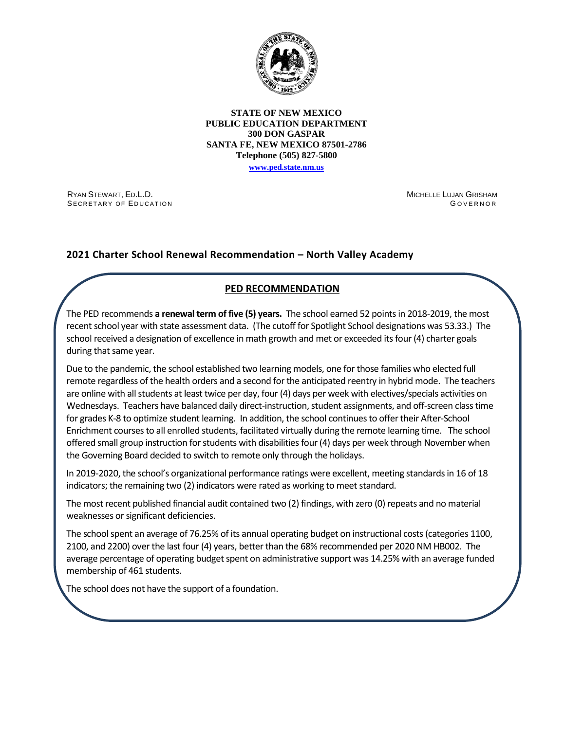

#### **STATE OF NEW MEXICO PUBLIC EDUCATION DEPARTMENT 300 DON GASPAR SANTA FE, NEW MEXICO 87501-2786 Telephone (505) 827-5800**

**[www.ped.state.nm.us](http://webnew.ped.state.nm.us/)**

RYAN STEWART, ED.L.D. SECRETARY OF EDUCATION MICHELLE LUJAN GRISHAM G OVERNOR

## **2021 Charter School Renewal Recommendation – North Valley Academy**

## **PED RECOMMENDATION**

The PED recommends **a renewal term of five (5) years.** The school earned 52 pointsin 2018-2019, the most recent school year with state assessment data. (The cutoff for Spotlight School designations was 53.33.) The school received a designation of excellence in math growth and met or exceeded its four (4) charter goals during that same year.

Due to the pandemic, the school established two learning models, one for those families who elected full remote regardless of the health orders and a second for the anticipated reentry in hybrid mode. The teachers are online with all students at least twice per day, four (4) days per week with electives/specials activities on Wednesdays. Teachers have balanced daily direct-instruction, student assignments, and off-screen class time for grades K-8 to optimize student learning. In addition, the school continues to offer their After-School Enrichment courses to all enrolled students, facilitated virtually during the remote learning time. The school offered small group instruction for students with disabilities four (4) days per week through November when the Governing Board decided to switch to remote only through the holidays.

In 2019-2020, the school's organizational performance ratings were excellent, meeting standards in 16 of 18 indicators; the remaining two (2) indicators were rated as working to meet standard.

The most recent published financial audit contained two (2) findings, with zero (0) repeats and no material weaknesses or significant deficiencies.

The school spent an average of 76.25% of its annual operating budget on instructional costs (categories 1100, 2100, and 2200) over the last four (4) years, better than the 68% recommended per 2020 NM HB002. The average percentage of operating budget spent on administrative support was 14.25% with an average funded membership of 461 students.

The school does not have the support of a foundation.